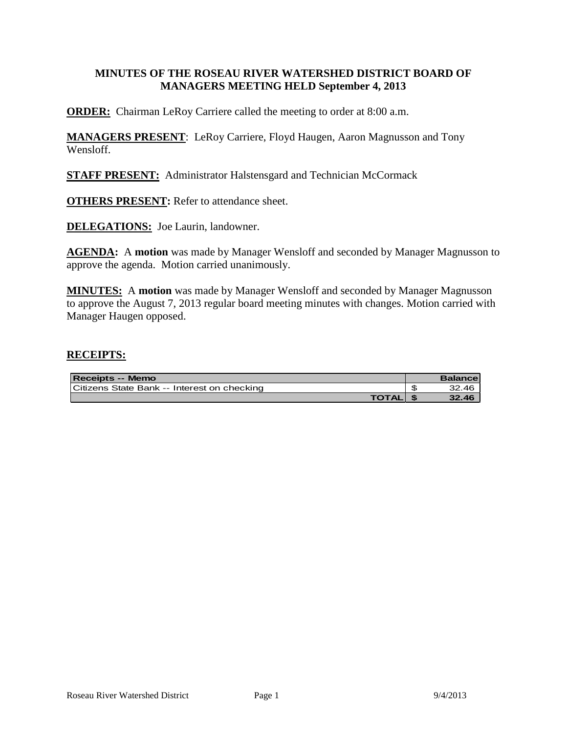### **MINUTES OF THE ROSEAU RIVER WATERSHED DISTRICT BOARD OF MANAGERS MEETING HELD September 4, 2013**

**ORDER:** Chairman LeRoy Carriere called the meeting to order at 8:00 a.m.

**MANAGERS PRESENT**: LeRoy Carriere, Floyd Haugen, Aaron Magnusson and Tony Wensloff.

**STAFF PRESENT:** Administrator Halstensgard and Technician McCormack

**OTHERS PRESENT:** Refer to attendance sheet.

**DELEGATIONS:** Joe Laurin, landowner.

**AGENDA:** A **motion** was made by Manager Wensloff and seconded by Manager Magnusson to approve the agenda. Motion carried unanimously.

**MINUTES:** A **motion** was made by Manager Wensloff and seconded by Manager Magnusson to approve the August 7, 2013 regular board meeting minutes with changes. Motion carried with Manager Haugen opposed.

#### **RECEIPTS:**

| <b>Receipts -- Memo</b>                     | <b>Balance</b> |
|---------------------------------------------|----------------|
| Citizens State Bank -- Interest on checking | 32.46          |
| TOTAL.                                      | 32.46          |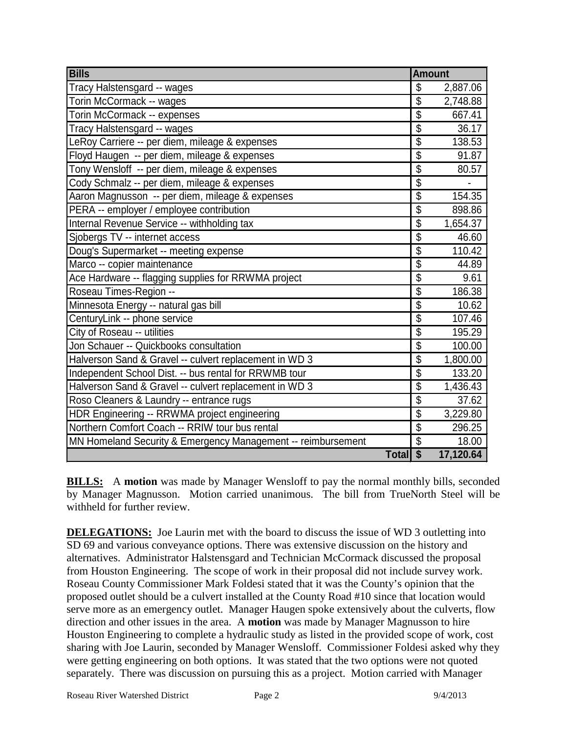| <b>Bills</b>                                                 | <b>Amount</b>            |           |
|--------------------------------------------------------------|--------------------------|-----------|
| Tracy Halstensgard -- wages                                  | \$                       | 2,887.06  |
| Torin McCormack -- wages                                     | \$                       | 2,748.88  |
| Torin McCormack -- expenses                                  | $\overline{\$}$          | 667.41    |
| Tracy Halstensgard -- wages                                  | $\overline{\mathcal{S}}$ | 36.17     |
| LeRoy Carriere -- per diem, mileage & expenses               | \$                       | 138.53    |
| Floyd Haugen -- per diem, mileage & expenses                 | \$                       | 91.87     |
| Tony Wensloff -- per diem, mileage & expenses                | \$                       | 80.57     |
| Cody Schmalz -- per diem, mileage & expenses                 | \$                       |           |
| Aaron Magnusson -- per diem, mileage & expenses              | \$                       | 154.35    |
| PERA -- employer / employee contribution                     | $\overline{\$}$          | 898.86    |
| Internal Revenue Service -- withholding tax                  | $\overline{\mathcal{S}}$ | 1,654.37  |
| Sjobergs TV -- internet access                               | $\overline{\mathcal{S}}$ | 46.60     |
| Doug's Supermarket -- meeting expense                        | $\overline{\mathcal{S}}$ | 110.42    |
| Marco -- copier maintenance                                  | $\overline{\mathcal{S}}$ | 44.89     |
| Ace Hardware -- flagging supplies for RRWMA project          | $\overline{\$}$          | 9.61      |
| Roseau Times-Region --                                       | \$                       | 186.38    |
| Minnesota Energy -- natural gas bill                         | $\overline{\mathcal{S}}$ | 10.62     |
| CenturyLink -- phone service                                 | $\overline{\mathcal{S}}$ | 107.46    |
| City of Roseau -- utilities                                  | \$                       | 195.29    |
| Jon Schauer -- Quickbooks consultation                       | $\overline{\mathcal{S}}$ | 100.00    |
| Halverson Sand & Gravel -- culvert replacement in WD 3       | \$                       | 1,800.00  |
| Independent School Dist. -- bus rental for RRWMB tour        | $\overline{\$}$          | 133.20    |
| Halverson Sand & Gravel -- culvert replacement in WD 3       | \$                       | 1,436.43  |
| Roso Cleaners & Laundry -- entrance rugs                     | $\overline{\mathcal{S}}$ | 37.62     |
| HDR Engineering -- RRWMA project engineering                 | \$                       | 3,229.80  |
| Northern Comfort Coach -- RRIW tour bus rental               | $\overline{\$}$          | 296.25    |
| MN Homeland Security & Emergency Management -- reimbursement | $\overline{\mathbb{S}}$  | 18.00     |
| Total \$                                                     |                          | 17,120.64 |

**BILLS:** A motion was made by Manager Wensloff to pay the normal monthly bills, seconded by Manager Magnusson. Motion carried unanimous. The bill from TrueNorth Steel will be withheld for further review.

**DELEGATIONS:** Joe Laurin met with the board to discuss the issue of WD 3 outletting into SD 69 and various conveyance options. There was extensive discussion on the history and alternatives. Administrator Halstensgard and Technician McCormack discussed the proposal from Houston Engineering. The scope of work in their proposal did not include survey work. Roseau County Commissioner Mark Foldesi stated that it was the County's opinion that the proposed outlet should be a culvert installed at the County Road #10 since that location would serve more as an emergency outlet. Manager Haugen spoke extensively about the culverts, flow direction and other issues in the area. A **motion** was made by Manager Magnusson to hire Houston Engineering to complete a hydraulic study as listed in the provided scope of work, cost sharing with Joe Laurin, seconded by Manager Wensloff. Commissioner Foldesi asked why they were getting engineering on both options. It was stated that the two options were not quoted separately. There was discussion on pursuing this as a project. Motion carried with Manager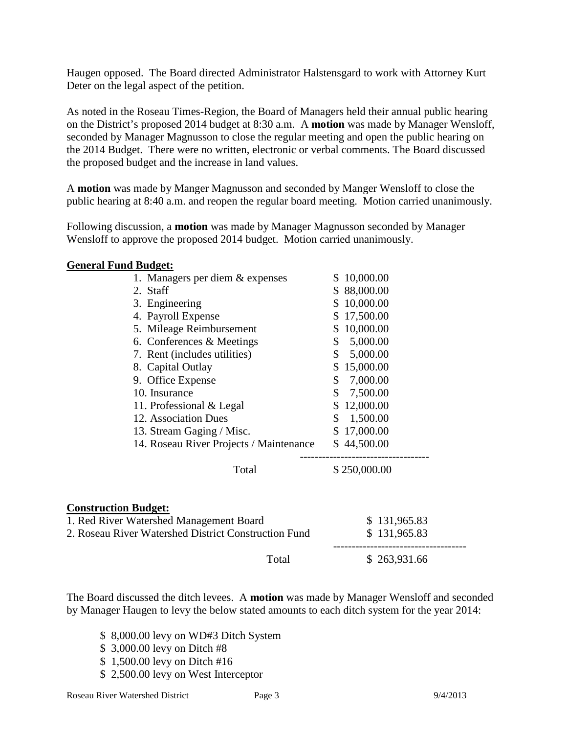Haugen opposed. The Board directed Administrator Halstensgard to work with Attorney Kurt Deter on the legal aspect of the petition.

As noted in the Roseau Times-Region, the Board of Managers held their annual public hearing on the District's proposed 2014 budget at 8:30 a.m. A **motion** was made by Manager Wensloff, seconded by Manager Magnusson to close the regular meeting and open the public hearing on the 2014 Budget. There were no written, electronic or verbal comments. The Board discussed the proposed budget and the increase in land values.

A **motion** was made by Manger Magnusson and seconded by Manger Wensloff to close the public hearing at 8:40 a.m. and reopen the regular board meeting. Motion carried unanimously.

Following discussion, a **motion** was made by Manager Magnusson seconded by Manager Wensloff to approve the proposed 2014 budget. Motion carried unanimously.

### **General Fund Budget:**

| 1. Managers per diem $&$ expenses       | 10,000.00<br>S. |
|-----------------------------------------|-----------------|
| 2. Staff                                | \$88,000.00     |
| 3. Engineering                          | \$10,000.00     |
| 4. Payroll Expense                      | \$17,500.00     |
| 5. Mileage Reimbursement                | \$10,000.00     |
| 6. Conferences & Meetings               | 5,000.00<br>\$  |
| 7. Rent (includes utilities)            | \$<br>5,000.00  |
| 8. Capital Outlay                       | 15,000.00<br>\$ |
| 9. Office Expense                       | 7,000.00<br>\$  |
| 10. Insurance                           | \$<br>7,500.00  |
| 11. Professional & Legal                | 12,000.00<br>\$ |
| 12. Association Dues                    | 1,500.00<br>\$  |
| 13. Stream Gaging / Misc.               | \$17,000.00     |
| 14. Roseau River Projects / Maintenance | \$44,500.00     |
| Total                                   | \$250,000.00    |

### **Construction Budget:**

| 1. Red River Watershed Management Board              | \$131,965.83 |
|------------------------------------------------------|--------------|
| 2. Roseau River Watershed District Construction Fund | \$131,965.83 |
| Total                                                | \$263,931.66 |

The Board discussed the ditch levees. A **motion** was made by Manager Wensloff and seconded by Manager Haugen to levy the below stated amounts to each ditch system for the year 2014:

- \$ 8,000.00 levy on WD#3 Ditch System
- \$ 3,000.00 levy on Ditch #8
- \$ 1,500.00 levy on Ditch #16
- \$ 2,500.00 levy on West Interceptor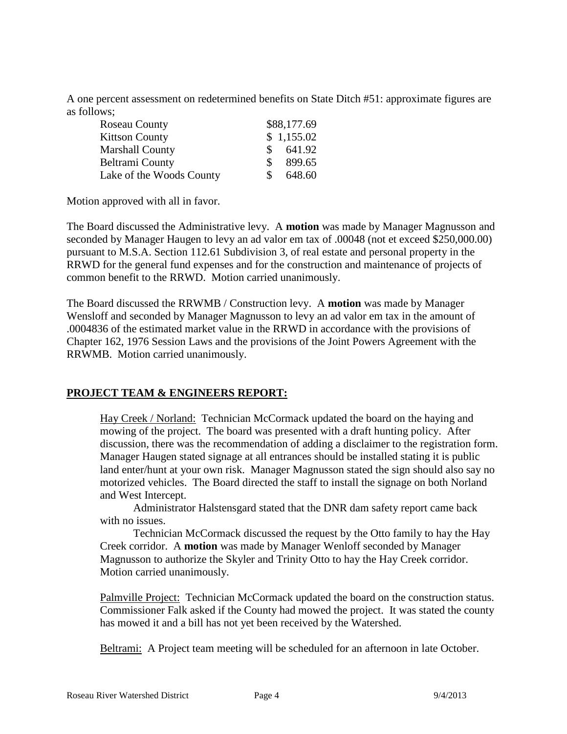A one percent assessment on redetermined benefits on State Ditch #51: approximate figures are as follows;

| <b>Roseau County</b>     |    | \$88,177.69 |
|--------------------------|----|-------------|
| <b>Kittson County</b>    |    | \$1,155.02  |
| <b>Marshall County</b>   | £. | 641.92      |
| <b>Beltrami County</b>   | S. | 899.65      |
| Lake of the Woods County | S. | 648.60      |

Motion approved with all in favor.

The Board discussed the Administrative levy. A **motion** was made by Manager Magnusson and seconded by Manager Haugen to levy an ad valor em tax of .00048 (not et exceed \$250,000.00) pursuant to M.S.A. Section 112.61 Subdivision 3, of real estate and personal property in the RRWD for the general fund expenses and for the construction and maintenance of projects of common benefit to the RRWD. Motion carried unanimously.

The Board discussed the RRWMB / Construction levy. A **motion** was made by Manager Wensloff and seconded by Manager Magnusson to levy an ad valor em tax in the amount of .0004836 of the estimated market value in the RRWD in accordance with the provisions of Chapter 162, 1976 Session Laws and the provisions of the Joint Powers Agreement with the RRWMB. Motion carried unanimously.

# **PROJECT TEAM & ENGINEERS REPORT:**

Hay Creek / Norland: Technician McCormack updated the board on the haying and mowing of the project. The board was presented with a draft hunting policy. After discussion, there was the recommendation of adding a disclaimer to the registration form. Manager Haugen stated signage at all entrances should be installed stating it is public land enter/hunt at your own risk. Manager Magnusson stated the sign should also say no motorized vehicles. The Board directed the staff to install the signage on both Norland and West Intercept.

Administrator Halstensgard stated that the DNR dam safety report came back with no issues.

Technician McCormack discussed the request by the Otto family to hay the Hay Creek corridor. A **motion** was made by Manager Wenloff seconded by Manager Magnusson to authorize the Skyler and Trinity Otto to hay the Hay Creek corridor. Motion carried unanimously.

Palmville Project: Technician McCormack updated the board on the construction status. Commissioner Falk asked if the County had mowed the project. It was stated the county has mowed it and a bill has not yet been received by the Watershed.

Beltrami: A Project team meeting will be scheduled for an afternoon in late October.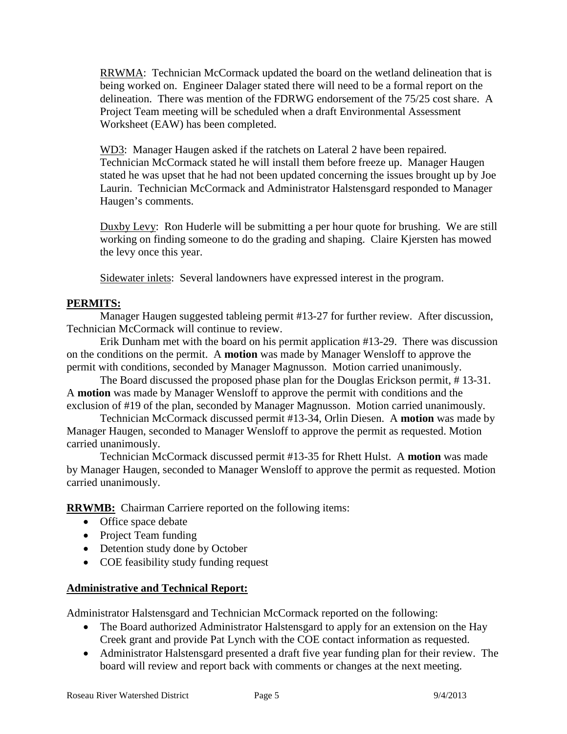RRWMA: Technician McCormack updated the board on the wetland delineation that is being worked on. Engineer Dalager stated there will need to be a formal report on the delineation. There was mention of the FDRWG endorsement of the 75/25 cost share. A Project Team meeting will be scheduled when a draft Environmental Assessment Worksheet (EAW) has been completed.

WD3: Manager Haugen asked if the ratchets on Lateral 2 have been repaired. Technician McCormack stated he will install them before freeze up. Manager Haugen stated he was upset that he had not been updated concerning the issues brought up by Joe Laurin. Technician McCormack and Administrator Halstensgard responded to Manager Haugen's comments.

Duxby Levy: Ron Huderle will be submitting a per hour quote for brushing. We are still working on finding someone to do the grading and shaping. Claire Kjersten has mowed the levy once this year.

Sidewater inlets: Several landowners have expressed interest in the program.

### **PERMITS:**

Manager Haugen suggested tableing permit #13-27 for further review. After discussion, Technician McCormack will continue to review.

Erik Dunham met with the board on his permit application #13-29. There was discussion on the conditions on the permit. A **motion** was made by Manager Wensloff to approve the permit with conditions, seconded by Manager Magnusson. Motion carried unanimously.

The Board discussed the proposed phase plan for the Douglas Erickson permit, # 13-31. A **motion** was made by Manager Wensloff to approve the permit with conditions and the exclusion of #19 of the plan, seconded by Manager Magnusson. Motion carried unanimously.

Technician McCormack discussed permit #13-34, Orlin Diesen. A **motion** was made by Manager Haugen, seconded to Manager Wensloff to approve the permit as requested. Motion carried unanimously.

Technician McCormack discussed permit #13-35 for Rhett Hulst. A **motion** was made by Manager Haugen, seconded to Manager Wensloff to approve the permit as requested. Motion carried unanimously.

**RRWMB:** Chairman Carriere reported on the following items:

- Office space debate
- Project Team funding
- Detention study done by October
- COE feasibility study funding request

### **Administrative and Technical Report:**

Administrator Halstensgard and Technician McCormack reported on the following:

- The Board authorized Administrator Halstensgard to apply for an extension on the Hay Creek grant and provide Pat Lynch with the COE contact information as requested.
- Administrator Halstensgard presented a draft five year funding plan for their review. The board will review and report back with comments or changes at the next meeting.